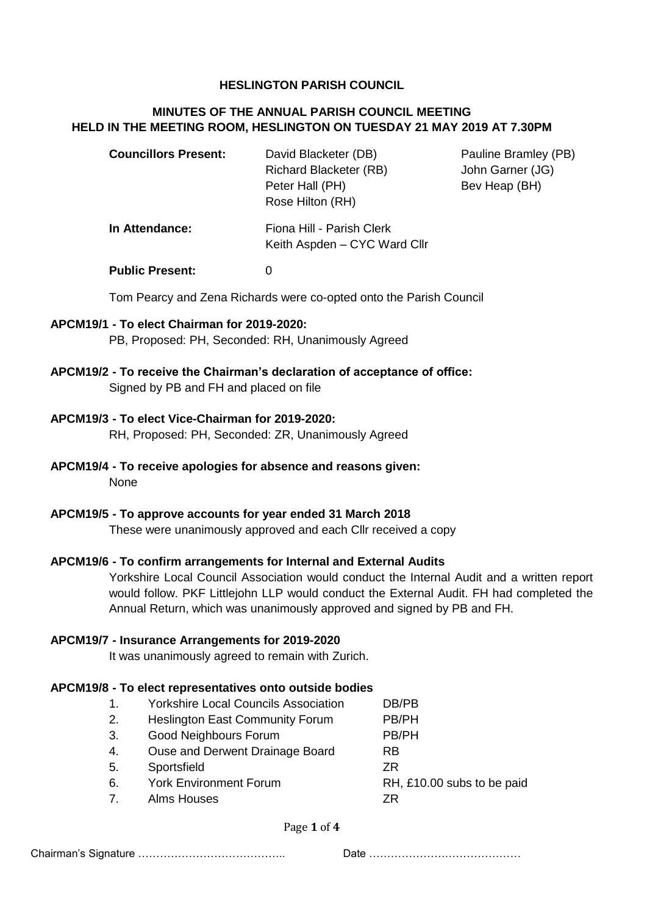## **HESLINGTON PARISH COUNCIL**

## **MINUTES OF THE ANNUAL PARISH COUNCIL MEETING HELD IN THE MEETING ROOM, HESLINGTON ON TUESDAY 21 MAY 2019 AT 7.30PM**

| <b>Councillors Present:</b> | David Blacketer (DB)          |
|-----------------------------|-------------------------------|
|                             | <b>Richard Blacketer (RB)</b> |
|                             | Peter Hall (PH)               |
|                             | Rose Hilton (RH)              |
|                             |                               |

**Pauline Bramley (PB)** John Garner (JG) Bey Heap (BH)

# **In Attendance:** Fiona Hill - Parish Clerk Keith Aspden – CYC Ward Cllr

**Public Present:** 0

Tom Pearcy and Zena Richards were co-opted onto the Parish Council

### **APCM19/1 - To elect Chairman for 2019-2020:**

PB, Proposed: PH, Seconded: RH, Unanimously Agreed

## **APCM19/2 - To receive the Chairman's declaration of acceptance of office:** Signed by PB and FH and placed on file

### **APCM19/3 - To elect Vice-Chairman for 2019-2020:**

RH, Proposed: PH, Seconded: ZR, Unanimously Agreed

### **APCM19/4 - To receive apologies for absence and reasons given:** None

#### **APCM19/5 - To approve accounts for year ended 31 March 2018**

These were unanimously approved and each Cllr received a copy

## **APCM19/6 - To confirm arrangements for Internal and External Audits**

Yorkshire Local Council Association would conduct the Internal Audit and a written report would follow. PKF Littlejohn LLP would conduct the External Audit. FH had completed the Annual Return, which was unanimously approved and signed by PB and FH.

#### **APCM19/7 - Insurance Arrangements for 2019-2020**

It was unanimously agreed to remain with Zurich.

## **APCM19/8 - To elect representatives onto outside bodies**

|              | <b>Yorkshire Local Councils Association</b> | DB/PB                      |
|--------------|---------------------------------------------|----------------------------|
| 2.           | <b>Heslington East Community Forum</b>      | PB/PH                      |
| 3.           | <b>Good Neighbours Forum</b>                | PB/PH                      |
| 4.           | Ouse and Derwent Drainage Board             | <b>RB</b>                  |
| 5.           | Sportsfield                                 | 7R                         |
| 6.           | <b>York Environment Forum</b>               | RH, £10.00 subs to be paid |
| $\mathbf{7}$ | <b>Alms Houses</b>                          | 7R                         |
|              |                                             |                            |

Page **1** of **4**

Chairman's Signature ………………………………….. Date ……………………………………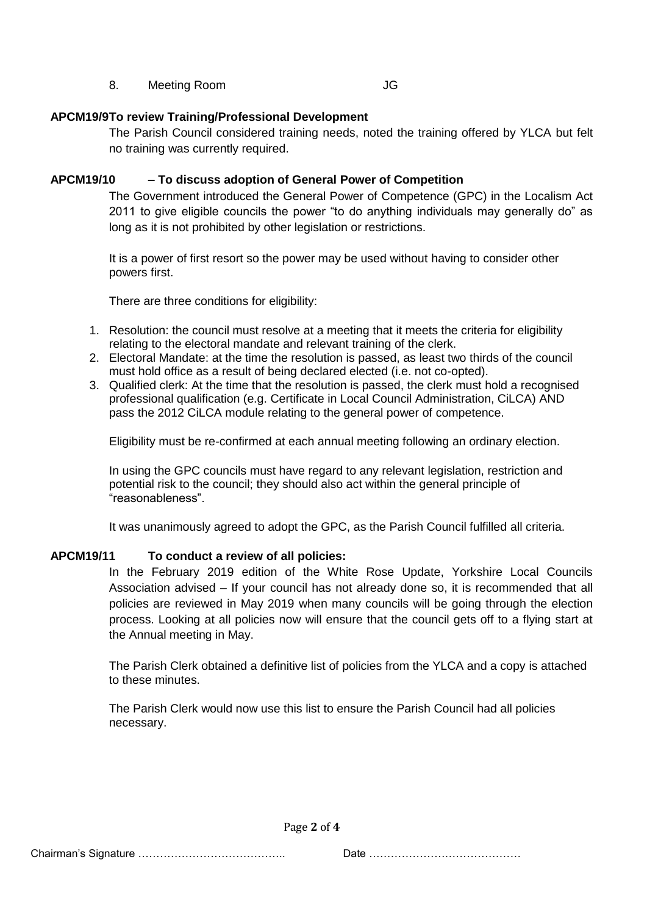8. Meeting Room JG

## **APCM19/9To review Training/Professional Development**

The Parish Council considered training needs, noted the training offered by YLCA but felt no training was currently required.

## **APCM19/10 – To discuss adoption of General Power of Competition**

The Government introduced the General Power of Competence (GPC) in the Localism Act 2011 to give eligible councils the power "to do anything individuals may generally do" as long as it is not prohibited by other legislation or restrictions.

It is a power of first resort so the power may be used without having to consider other powers first.

There are three conditions for eligibility:

- 1. Resolution: the council must resolve at a meeting that it meets the criteria for eligibility relating to the electoral mandate and relevant training of the clerk.
- 2. Electoral Mandate: at the time the resolution is passed, as least two thirds of the council must hold office as a result of being declared elected (i.e. not co-opted).
- 3. Qualified clerk: At the time that the resolution is passed, the clerk must hold a recognised professional qualification (e.g. Certificate in Local Council Administration, CiLCA) AND pass the 2012 CiLCA module relating to the general power of competence.

Eligibility must be re-confirmed at each annual meeting following an ordinary election.

In using the GPC councils must have regard to any relevant legislation, restriction and potential risk to the council; they should also act within the general principle of "reasonableness".

It was unanimously agreed to adopt the GPC, as the Parish Council fulfilled all criteria.

## **APCM19/11 To conduct a review of all policies:**

In the February 2019 edition of the White Rose Update, Yorkshire Local Councils Association advised – If your council has not already done so, it is recommended that all policies are reviewed in May 2019 when many councils will be going through the election process. Looking at all policies now will ensure that the council gets off to a flying start at the Annual meeting in May.

The Parish Clerk obtained a definitive list of policies from the YLCA and a copy is attached to these minutes.

The Parish Clerk would now use this list to ensure the Parish Council had all policies necessary.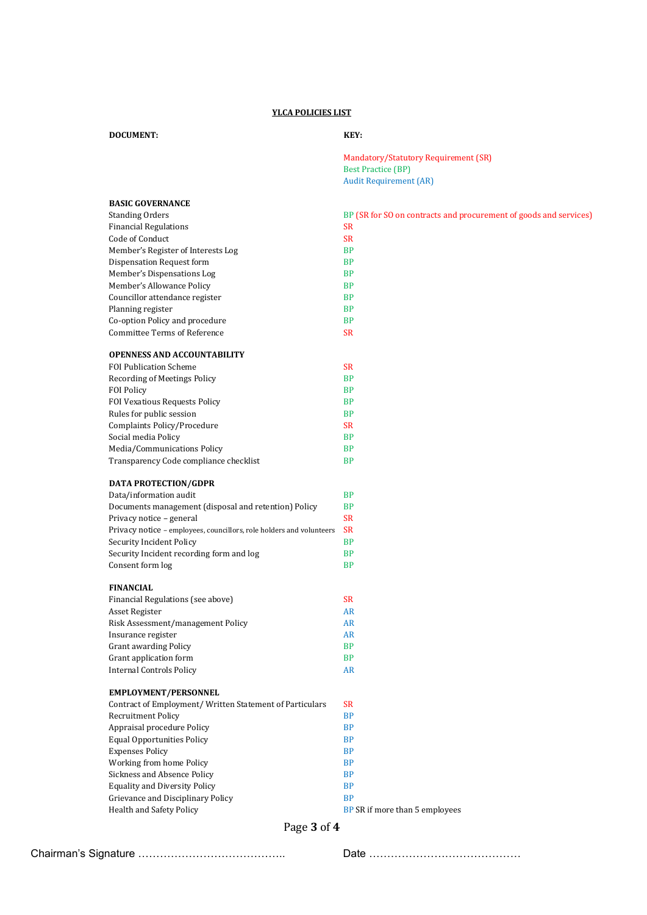#### **YLCA POLICIES LIST**

#### **DOCUMENT:** KEY:

Mandatory/Statutory Requirement (SR) Best Practice (BP) Audit Requirement (AR)

| <b>BASIC GOVERNANCE</b>                                              |                                                                |
|----------------------------------------------------------------------|----------------------------------------------------------------|
| <b>Standing Orders</b>                                               | BP (SR for SO on contracts and procurement of goods and servic |
| <b>Financial Regulations</b>                                         | <b>SR</b>                                                      |
| Code of Conduct                                                      | <b>SR</b>                                                      |
| Member's Register of Interests Log                                   | <b>BP</b>                                                      |
| <b>Dispensation Request form</b>                                     | <b>BP</b>                                                      |
| Member's Dispensations Log                                           | <b>BP</b>                                                      |
| Member's Allowance Policy                                            | <b>BP</b>                                                      |
| Councillor attendance register                                       | <b>BP</b>                                                      |
| Planning register                                                    | <b>BP</b>                                                      |
| Co-option Policy and procedure                                       | <b>BP</b>                                                      |
| <b>Committee Terms of Reference</b>                                  | <b>SR</b>                                                      |
| <b>OPENNESS AND ACCOUNTABILITY</b>                                   |                                                                |
| <b>FOI Publication Scheme</b>                                        | <b>SR</b>                                                      |
| Recording of Meetings Policy                                         | <b>BP</b>                                                      |
| <b>FOI Policy</b>                                                    | <b>BP</b>                                                      |
| FOI Vexatious Requests Policy                                        | <b>BP</b>                                                      |
| Rules for public session                                             | <b>BP</b>                                                      |
| Complaints Policy/Procedure                                          | <b>SR</b>                                                      |
| Social media Policy                                                  | <b>BP</b>                                                      |
| Media/Communications Policy                                          | <b>BP</b>                                                      |
| Transparency Code compliance checklist                               | <b>BP</b>                                                      |
| <b>DATA PROTECTION/GDPR</b>                                          |                                                                |
| Data/information audit                                               | <b>BP</b>                                                      |
| Documents management (disposal and retention) Policy                 | <b>BP</b>                                                      |
| Privacy notice - general                                             | <b>SR</b>                                                      |
| Privacy notice - employees, councillors, role holders and volunteers | <b>SR</b>                                                      |
| Security Incident Policy                                             | <b>BP</b>                                                      |
| Security Incident recording form and log                             | <b>BP</b>                                                      |
| Consent form log                                                     | <b>BP</b>                                                      |
| <b>FINANCIAL</b>                                                     |                                                                |
| Financial Regulations (see above)                                    | <b>SR</b>                                                      |
| Asset Register                                                       | <b>AR</b>                                                      |
| Risk Assessment/management Policy                                    | <b>AR</b>                                                      |
| Insurance register                                                   | AR                                                             |
| <b>Grant awarding Policy</b>                                         | <b>BP</b>                                                      |
| Grant application form                                               | <b>BP</b>                                                      |
| <b>Internal Controls Policy</b>                                      | AR                                                             |
| EMPLOYMENT/PERSONNEL                                                 |                                                                |
| Contract of Employment/ Written Statement of Particulars             | <b>SR</b>                                                      |
| <b>Recruitment Policy</b>                                            | <b>BP</b>                                                      |
| Appraisal procedure Policy                                           | <b>BP</b>                                                      |
| <b>Equal Opportunities Policy</b>                                    | <b>BP</b>                                                      |
| <b>Expenses Policy</b>                                               | <b>BP</b>                                                      |
| Working from home Policy                                             | <b>BP</b>                                                      |
| Sickness and Absence Policy                                          | <b>BP</b>                                                      |
| <b>Equality and Diversity Policy</b>                                 | <b>BP</b>                                                      |
| Grievance and Disciplinary Policy                                    | <b>BP</b>                                                      |

for SO on contracts and procurement of goods and services)

- 
- 
- 
- 
- 
- 
- -
	-
- -
	-
	-
	-
	-
	-
	-
	- - -

- 
- 
- 
- -
	-
- 
- 
- 

- 
- 
- -
- 
- 
- 

Health and Safety Policy **BP SR** if more than 5 employees

Page **3** of **4**

Chairman's Signature ………………………………….. Date ……………………………………